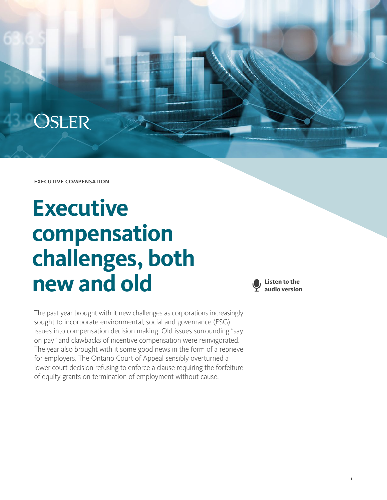## **OSLER**

executive compensation

# **Executive compensation challenges, both new and old**

The past year brought with it new challenges as corporations increasingly sought to incorporate environmental, social and governance (ESG) issues into compensation decision making. Old issues surrounding "say on pay" and clawbacks of incentive compensation were reinvigorated. The year also brought with it some good news in the form of a reprieve for employers. The Ontario Court of Appeal sensibly overturned a lower court decision refusing to enforce a clause requiring the forfeiture of equity grants on termination of employment without cause.

**Listen to the audio version**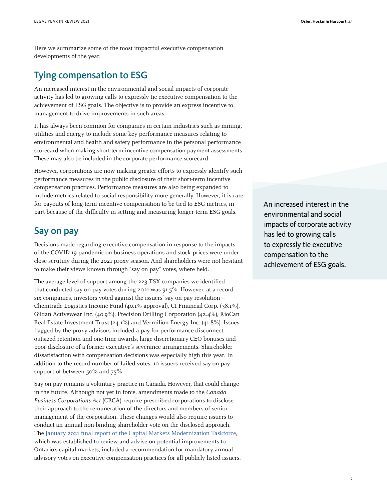Here we summarize some of the most impactful executive compensation developments of the year.

#### Tying compensation to ESG

An increased interest in the environmental and social impacts of corporate activity has led to growing calls to expressly tie executive compensation to the achievement of ESG goals. The objective is to provide an express incentive to management to drive improvements in such areas.

It has always been common for companies in certain industries such as mining, utilities and energy to include some key performance measures relating to environmental and health and safety performance in the personal performance scorecard when making short-term incentive compensation payment assessments. These may also be included in the corporate performance scorecard.

However, corporations are now making greater efforts to expressly identify such performance measures in the public disclosure of their short-term incentive compensation practices. Performance measures are also being expanded to include metrics related to social responsibility more generally. However, it is rare for payouts of long-term incentive compensation to be tied to ESG metrics, in part because of the difficulty in setting and measuring longer-term ESG goals.

#### Say on pay

Decisions made regarding executive compensation in response to the impacts of the COVID-19 pandemic on business operations and stock prices were under close scrutiny during the 2021 proxy season. And shareholders were not hesitant to make their views known through "say on pay" votes, where held.

The average level of support among the 223 TSX companies we identified that conducted say on pay votes during 2021 was 91.5%. However, at a record six companies, investors voted against the issuers' say on pay resolution – Chemtrade Logistics Income Fund (40.1% approval), CI Financial Corp. (38.1%), Gildan Activewear Inc. (40.9%), Precision Drilling Corporation (42.4%), RioCan Real Estate Investment Trust (24.1%) and Vermilion Energy Inc. (41.8%). Issues flagged by the proxy advisors included a pay-for-performance disconnect, outsized retention and one-time awards, large discretionary CEO bonuses and poor disclosure of a former executive's severance arrangements. Shareholder dissatisfaction with compensation decisions was especially high this year. In addition to the record number of failed votes, 10 issuers received say on pay support of between 50% and 75%.

Say on pay remains a voluntary practice in Canada. However, that could change in the future. Although not yet in force, amendments made to the Canada Business Corporations Act (CBCA) require prescribed corporations to disclose their approach to the remuneration of the directors and members of senior management of the corporation. These changes would also require issuers to conduct an annual non-binding shareholder vote on the disclosed approach. The [January 2021 final report of the Capital Markets Modernization Taskforce,](https://files.ontario.ca/books/mof-capital-markets-modernization-taskforce-final-report-en-2021-01-22-v2.pdf) which was established to review and advise on potential improvements to Ontario's capital markets, included a recommendation for mandatory annual advisory votes on executive compensation practices for all publicly listed issuers. An increased interest in the environmental and social impacts of corporate activity has led to growing calls to expressly tie executive compensation to the achievement of ESG goals.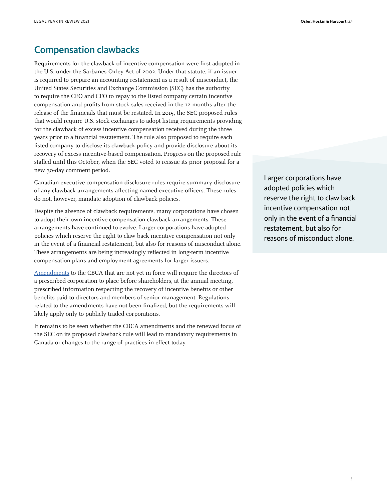### Compensation clawbacks

Requirements for the clawback of incentive compensation were first adopted in the U.S. under the Sarbanes-Oxley Act of 2002. Under that statute, if an issuer is required to prepare an accounting restatement as a result of misconduct, the United States Securities and Exchange Commission (SEC) has the authority to require the CEO and CFO to repay to the listed company certain incentive compensation and profits from stock sales received in the 12 months after the release of the financials that must be restated. In 2015, the SEC proposed rules that would require U.S. stock exchanges to adopt listing requirements providing for the clawback of excess incentive compensation received during the three years prior to a financial restatement. The rule also proposed to require each listed company to disclose its clawback policy and provide disclosure about its recovery of excess incentive-based compensation. Progress on the proposed rule stalled until this October, when the SEC voted to reissue its prior proposal for a new 30-day comment period.

Canadian executive compensation disclosure rules require summary disclosure of any clawback arrangements affecting named executive officers. These rules do not, however, mandate adoption of clawback policies.

Despite the absence of clawback requirements, many corporations have chosen to adopt their own incentive compensation clawback arrangements. These arrangements have continued to evolve. Larger corporations have adopted policies which reserve the right to claw back incentive compensation not only in the event of a financial restatement, but also for reasons of misconduct alone. These arrangements are being increasingly reflected in long-term incentive compensation plans and employment agreements for larger issuers.

[Amendments](https://laws-lois.justice.gc.ca/eng/acts/C-44/nifnev.html) to the CBCA that are not yet in force will require the directors of a prescribed corporation to place before shareholders, at the annual meeting, prescribed information respecting the recovery of incentive benefits or other benefits paid to directors and members of senior management. Regulations related to the amendments have not been finalized, but the requirements will likely apply only to publicly traded corporations.

It remains to be seen whether the CBCA amendments and the renewed focus of the SEC on its proposed clawback rule will lead to mandatory requirements in Canada or changes to the range of practices in effect today.

Larger corporations have adopted policies which reserve the right to claw back incentive compensation not only in the event of a financial restatement, but also for reasons of misconduct alone.